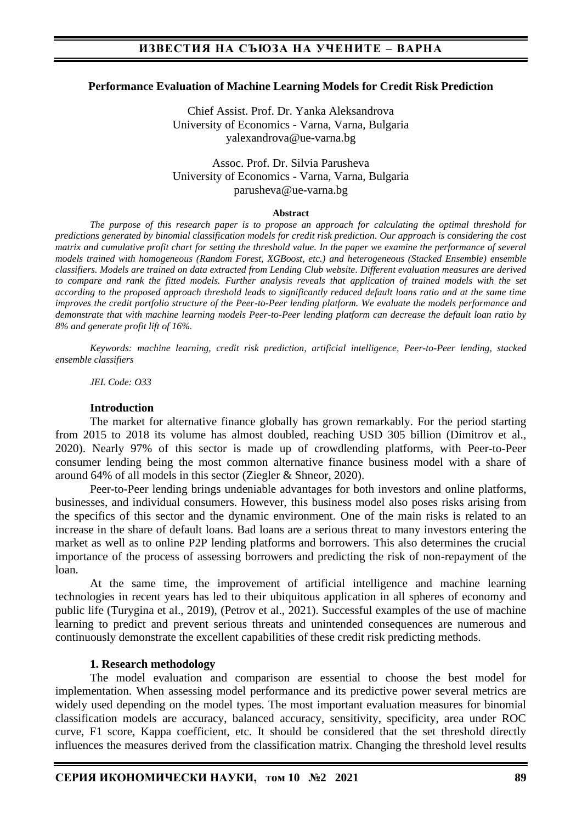### **Performance Evaluation of Machine Learning Models for Credit Risk Prediction**

Chief Assist. Prof. Dr. Yanka Aleksandrova University of Economics - Varna, Varna, Bulgaria yalexandrova@ue-varna.bg

Assoc. Prof. Dr. Silvia Parusheva University of Economics - Varna, Varna, Bulgaria parusheva@ue-varna.bg

#### **Abstract**

*The purpose of this research paper is to propose an approach for calculating the optimal threshold for predictions generated by binomial classification models for credit risk prediction. Our approach is considering the cost matrix and cumulative profit chart for setting the threshold value. In the paper we examine the performance of several models trained with homogeneous (Random Forest, XGBoost, etc.) and heterogeneous (Stacked Ensemble) ensemble classifiers. Models are trained on data extracted from Lending Club website. Different evaluation measures are derived to compare and rank the fitted models. Further analysis reveals that application of trained models with the set according to the proposed approach threshold leads to significantly reduced default loans ratio and at the same time improves the credit portfolio structure of the Peer-to-Peer lending platform. We evaluate the models performance and demonstrate that with machine learning models Peer-to-Peer lending platform can decrease the default loan ratio by 8% and generate profit lift of 16%.*

*Keywords: machine learning, credit risk prediction, artificial intelligence, Peer-to-Peer lending, stacked ensemble classifiers* 

*JEL Code: O33*

#### **Introduction**

The market for alternative finance globally has grown remarkably. For the period starting from 2015 to 2018 its volume has almost doubled, reaching USD 305 billion (Dimitrov et al., 2020). Nearly 97% of this sector is made up of crowdlending platforms, with Peer-to-Peer consumer lending being the most common alternative finance business model with a share of around 64% of all models in this sector (Ziegler & Shneor, 2020).

Peer-to-Peer lending brings undeniable advantages for both investors and online platforms, businesses, and individual consumers. However, this business model also poses risks arising from the specifics of this sector and the dynamic environment. One of the main risks is related to an increase in the share of default loans. Bad loans are a serious threat to many investors entering the market as well as to online P2P lending platforms and borrowers. This also determines the crucial importance of the process of assessing borrowers and predicting the risk of non-repayment of the loan.

At the same time, the improvement of artificial intelligence and machine learning technologies in recent years has led to their ubiquitous application in all spheres of economy and public life (Turygina et al., 2019), (Petrov et al., 2021). Successful examples of the use of machine learning to predict and prevent serious threats and unintended consequences are numerous and continuously demonstrate the excellent capabilities of these credit risk predicting methods.

#### **1. Research methodology**

The model evaluation and comparison are essential to choose the best model for implementation. When assessing model performance and its predictive power several metrics are widely used depending on the model types. The most important evaluation measures for binomial classification models are accuracy, balanced accuracy, sensitivity, specificity, area under ROC curve, F1 score, Kappa coefficient, etc. It should be considered that the set threshold directly influences the measures derived from the classification matrix. Changing the threshold level results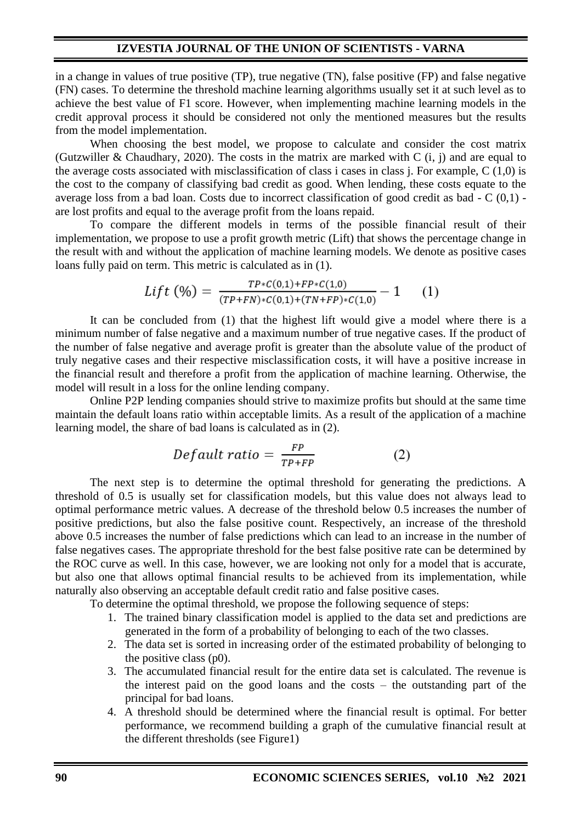in a change in values of true positive (TP), true negative (TN), false positive (FP) and false negative (FN) cases. To determine the threshold machine learning algorithms usually set it at such level as to achieve the best value of F1 score. However, when implementing machine learning models in the credit approval process it should be considered not only the mentioned measures but the results from the model implementation.

When choosing the best model, we propose to calculate and consider the cost matrix (Gutzwiller & Chaudhary, 2020). The costs in the matrix are marked with C (i, j) and are equal to the average costs associated with misclassification of class i cases in class j. For example, C (1,0) is the cost to the company of classifying bad credit as good. When lending, these costs equate to the average loss from a bad loan. Costs due to incorrect classification of good credit as bad - C (0,1) are lost profits and equal to the average profit from the loans repaid.

To compare the different models in terms of the possible financial result of their implementation, we propose to use a profit growth metric (Lift) that shows the percentage change in the result with and without the application of machine learning models. We denote as positive cases loans fully paid on term. This metric is calculated as in (1).

$$
Lift\ (\%) = \frac{TP * C(0,1) + FP * C(1,0)}{(TP + FN) * C(0,1) + (TN + FP) * C(1,0)} - 1 \qquad (1)
$$

It can be concluded from (1) that the highest lift would give a model where there is a minimum number of false negative and a maximum number of true negative cases. If the product of the number of false negative and average profit is greater than the absolute value of the product of truly negative cases and their respective misclassification costs, it will have a positive increase in the financial result and therefore a profit from the application of machine learning. Otherwise, the model will result in a loss for the online lending company.

Online P2P lending companies should strive to maximize profits but should at the same time maintain the default loans ratio within acceptable limits. As a result of the application of a machine learning model, the share of bad loans is calculated as in (2).

$$
Default\ ratio = \frac{FP}{TP+FP} \tag{2}
$$

The next step is to determine the optimal threshold for generating the predictions. A threshold of 0.5 is usually set for classification models, but this value does not always lead to optimal performance metric values. A decrease of the threshold below 0.5 increases the number of positive predictions, but also the false positive count. Respectively, an increase of the threshold above 0.5 increases the number of false predictions which can lead to an increase in the number of false negatives cases. The appropriate threshold for the best false positive rate can be determined by the ROC curve as well. In this case, however, we are looking not only for a model that is accurate, but also one that allows optimal financial results to be achieved from its implementation, while naturally also observing an acceptable default credit ratio and false positive cases.

To determine the optimal threshold, we propose the following sequence of steps:

- 1. The trained binary classification model is applied to the data set and predictions are generated in the form of a probability of belonging to each of the two classes.
- 2. The data set is sorted in increasing order of the estimated probability of belonging to the positive class (p0).
- 3. The accumulated financial result for the entire data set is calculated. The revenue is the interest paid on the good loans and the costs – the outstanding part of the principal for bad loans.
- 4. A threshold should be determined where the financial result is optimal. For better performance, we recommend building a graph of the cumulative financial result at the different thresholds (see Figure1)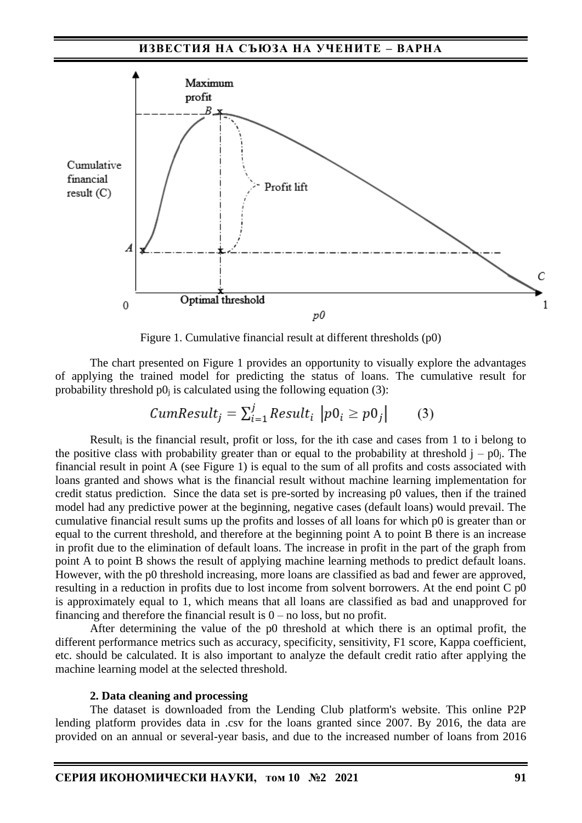

Figure 1. Cumulative financial result at different thresholds (p0)

The chart presented on Figure 1 provides an opportunity to visually explore the advantages of applying the trained model for predicting the status of loans. The cumulative result for probability threshold  $p0<sub>i</sub>$  is calculated using the following equation (3):

$$
CumResult_j = \sum_{i=1}^{j} Result_i \, |p0_i \ge p0_j| \qquad (3)
$$

Result<sub>i</sub> is the financial result, profit or loss, for the ith case and cases from 1 to i belong to the positive class with probability greater than or equal to the probability at threshold  $j - p0$ . The financial result in point A (see Figure 1) is equal to the sum of all profits and costs associated with loans granted and shows what is the financial result without machine learning implementation for credit status prediction. Since the data set is pre-sorted by increasing p0 values, then if the trained model had any predictive power at the beginning, negative cases (default loans) would prevail. The cumulative financial result sums up the profits and losses of all loans for which p0 is greater than or equal to the current threshold, and therefore at the beginning point A to point B there is an increase in profit due to the elimination of default loans. The increase in profit in the part of the graph from point A to point B shows the result of applying machine learning methods to predict default loans. However, with the p0 threshold increasing, more loans are classified as bad and fewer are approved, resulting in a reduction in profits due to lost income from solvent borrowers. At the end point C p0 is approximately equal to 1, which means that all loans are classified as bad and unapproved for financing and therefore the financial result is  $0 -$  no loss, but no profit.

After determining the value of the p0 threshold at which there is an optimal profit, the different performance metrics such as accuracy, specificity, sensitivity, F1 score, Kappa coefficient, etc. should be calculated. It is also important to analyze the default credit ratio after applying the machine learning model at the selected threshold.

### **2. Data cleaning and processing**

The dataset is downloaded from the Lending Club platform's website. This online P2P lending platform provides data in .csv for the loans granted since 2007. By 2016, the data are provided on an annual or several-year basis, and due to the increased number of loans from 2016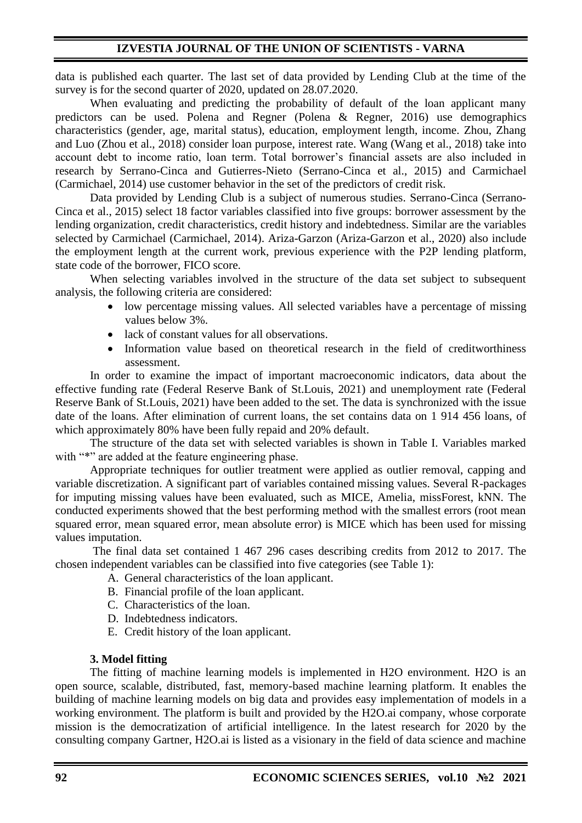data is published each quarter. The last set of data provided by Lending Club at the time of the survey is for the second quarter of 2020, updated on 28.07.2020.

When evaluating and predicting the probability of default of the loan applicant many predictors can be used. Polena and Regner (Polena & Regner, 2016) use demographics characteristics (gender, age, marital status), education, employment length, income. Zhou, Zhang and Luo (Zhou et al., 2018) consider loan purpose, interest rate. Wang (Wang et al., 2018) take into account debt to income ratio, loan term. Total borrower's financial assets are also included in research by Serrano-Cinca and Gutierres-Nieto (Serrano-Cinca et al., 2015) and Carmichael (Carmichael, 2014) use customer behavior in the set of the predictors of credit risk.

Data provided by Lending Club is a subject of numerous studies. Serrano-Cinca (Serrano-Cinca et al., 2015) select 18 factor variables classified into five groups: borrower assessment by the lending organization, credit characteristics, credit history and indebtedness. Similar are the variables selected by Carmichael (Carmichael, 2014). Ariza-Garzon (Ariza-Garzon et al., 2020) also include the employment length at the current work, previous experience with the P2P lending platform, state code of the borrower, FICO score.

When selecting variables involved in the structure of the data set subject to subsequent analysis, the following criteria are considered:

- low percentage missing values. All selected variables have a percentage of missing values below 3%.
- lack of constant values for all observations.
- Information value based on theoretical research in the field of creditworthiness assessment.

In order to examine the impact of important macroeconomic indicators, data about the effective funding rate (Federal Reserve Bank of St.Louis, 2021) and unemployment rate (Federal Reserve Bank of St.Louis, 2021) have been added to the set. The data is synchronized with the issue date of the loans. After elimination of current loans, the set contains data on 1 914 456 loans, of which approximately 80% have been fully repaid and 20% default.

The structure of the data set with selected variables is shown in Table I. Variables marked with "\*" are added at the feature engineering phase.

Appropriate techniques for outlier treatment were applied as outlier removal, capping and variable discretization. A significant part of variables contained missing values. Several R-packages for imputing missing values have been evaluated, such as MICE, Amelia, missForest, kNN. The conducted experiments showed that the best performing method with the smallest errors (root mean squared error, mean squared error, mean absolute error) is MICE which has been used for missing values imputation.

The final data set contained 1 467 296 cases describing credits from 2012 to 2017. The chosen independent variables can be classified into five categories (see Table 1):

- A. General characteristics of the loan applicant.
- B. Financial profile of the loan applicant.
- C. Characteristics of the loan.
- D. Indebtedness indicators.
- E. Credit history of the loan applicant.

## **3. Model fitting**

The fitting of machine learning models is implemented in H2O environment. H2O is an open source, scalable, distributed, fast, memory-based machine learning platform. It enables the building of machine learning models on big data and provides easy implementation of models in a working environment. The platform is built and provided by the H2O.ai company, whose corporate mission is the democratization of artificial intelligence. In the latest research for 2020 by the consulting company Gartner, H2O.ai is listed as a visionary in the field of data science and machine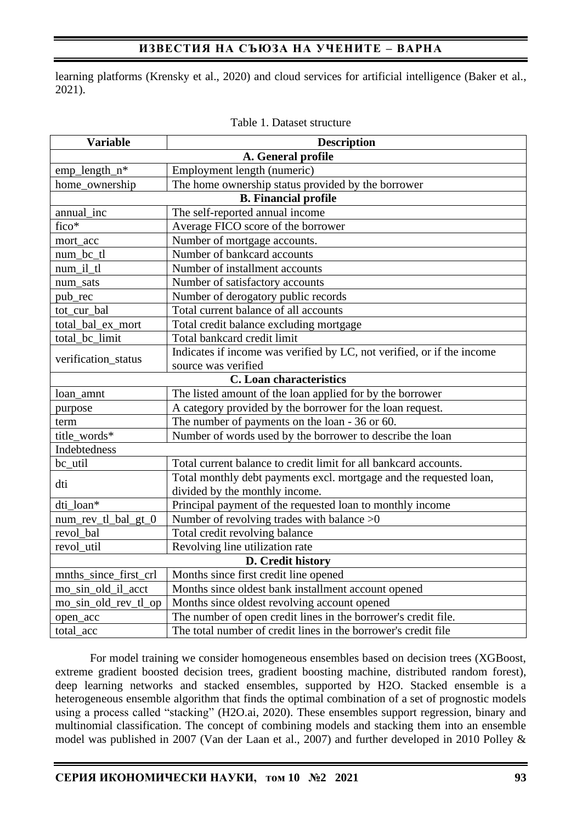# **ИЗВЕСТИЯ НА СЪЮЗА НА УЧЕНИТЕ – ВАРНА**

learning platforms (Krensky et al., 2020) and cloud services for artificial intelligence (Baker et al., 2021).

| <b>Variable</b>       | <b>Description</b>                                                     |
|-----------------------|------------------------------------------------------------------------|
|                       | A. General profile                                                     |
| emp_length_n*         | Employment length (numeric)                                            |
| home_ownership        | The home ownership status provided by the borrower                     |
|                       | <b>B.</b> Financial profile                                            |
| annual_inc            | The self-reported annual income                                        |
| fico*                 | Average FICO score of the borrower                                     |
| mort_acc              | Number of mortgage accounts.                                           |
| num_bc_tl             | Number of bankcard accounts                                            |
| num_il_tl             | Number of installment accounts                                         |
| num_sats              | Number of satisfactory accounts                                        |
| pub_rec               | Number of derogatory public records                                    |
| tot cur bal           | Total current balance of all accounts                                  |
| total_bal_ex_mort     | Total credit balance excluding mortgage                                |
| total_bc_limit        | Total bankcard credit limit                                            |
| verification_status   | Indicates if income was verified by LC, not verified, or if the income |
|                       | source was verified                                                    |
|                       | <b>C.</b> Loan characteristics                                         |
| loan_amnt             | The listed amount of the loan applied for by the borrower              |
| purpose               | A category provided by the borrower for the loan request.              |
| term                  | The number of payments on the loan - 36 or 60.                         |
| title words*          | Number of words used by the borrower to describe the loan              |
| Indebtedness          |                                                                        |
| bc_util               | Total current balance to credit limit for all bankcard accounts.       |
| dti                   | Total monthly debt payments excl. mortgage and the requested loan,     |
|                       | divided by the monthly income.                                         |
| dti loan*             | Principal payment of the requested loan to monthly income              |
| num_rev_tl_bal_gt_0   | Number of revolving trades with balance $>0$                           |
| revol_bal             | Total credit revolving balance                                         |
| revol_util            | Revolving line utilization rate                                        |
|                       | D. Credit history                                                      |
| mnths_since_first_crl | Months since first credit line opened                                  |
| mo_sin_old_il_acct    | Months since oldest bank installment account opened                    |
| mo_sin_old_rev_tl_op  | Months since oldest revolving account opened                           |
| open_acc              | The number of open credit lines in the borrower's credit file.         |
| total acc             | The total number of credit lines in the borrower's credit file         |

| Table 1. Dataset structure |  |
|----------------------------|--|
|----------------------------|--|

For model training we consider homogeneous ensembles based on decision trees (XGBoost, extreme gradient boosted decision trees, gradient boosting machine, distributed random forest), deep learning networks and stacked ensembles, supported by H2O. Stacked ensemble is a heterogeneous ensemble algorithm that finds the optimal combination of a set of prognostic models using a process called "stacking" (H2O.ai, 2020). These ensembles support regression, binary and multinomial classification. The concept of combining models and stacking them into an ensemble model was published in 2007 (Van der Laan et al., 2007) and further developed in 2010 Polley &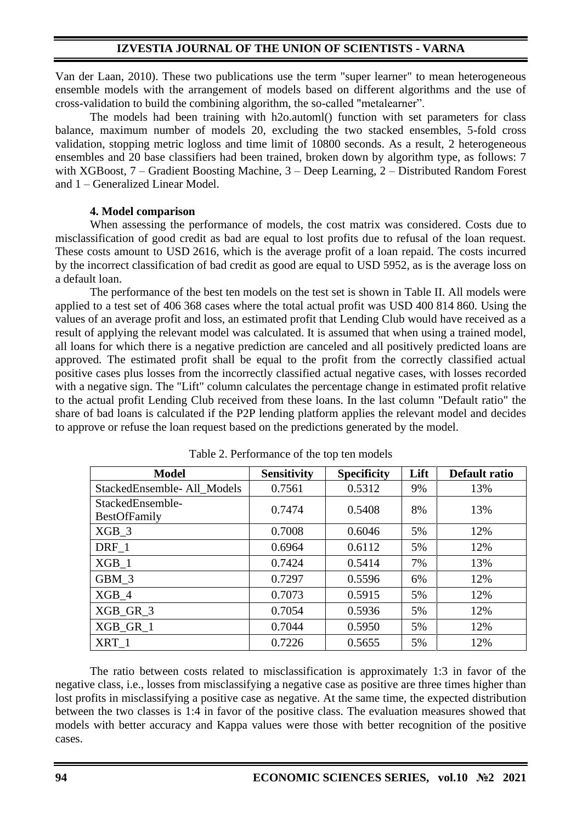Van der Laan, 2010). These two publications use the term "super learner" to mean heterogeneous ensemble models with the arrangement of models based on different algorithms and the use of cross-validation to build the combining algorithm, the so-called "metalearner".

The models had been training with h2o.automl() function with set parameters for class balance, maximum number of models 20, excluding the two stacked ensembles, 5-fold cross validation, stopping metric logloss and time limit of 10800 seconds. As a result, 2 heterogeneous ensembles and 20 base classifiers had been trained, broken down by algorithm type, as follows: 7 with XGBoost, 7 – Gradient Boosting Machine, 3 – Deep Learning, 2 – Distributed Random Forest and 1 – Generalized Linear Model.

### **4. Model comparison**

When assessing the performance of models, the cost matrix was considered. Costs due to misclassification of good credit as bad are equal to lost profits due to refusal of the loan request. These costs amount to USD 2616, which is the average profit of a loan repaid. The costs incurred by the incorrect classification of bad credit as good are equal to USD 5952, as is the average loss on a default loan.

The performance of the best ten models on the test set is shown in Table II. All models were applied to a test set of 406 368 cases where the total actual profit was USD 400 814 860. Using the values of an average profit and loss, an estimated profit that Lending Club would have received as a result of applying the relevant model was calculated. It is assumed that when using a trained model, all loans for which there is a negative prediction are canceled and all positively predicted loans are approved. The estimated profit shall be equal to the profit from the correctly classified actual positive cases plus losses from the incorrectly classified actual negative cases, with losses recorded with a negative sign. The "Lift" column calculates the percentage change in estimated profit relative to the actual profit Lending Club received from these loans. In the last column "Default ratio" the share of bad loans is calculated if the P2P lending platform applies the relevant model and decides to approve or refuse the loan request based on the predictions generated by the model.

| <b>Model</b>                            | <b>Sensitivity</b> | <b>Specificity</b> | Lift | Default ratio |
|-----------------------------------------|--------------------|--------------------|------|---------------|
| StackedEnsemble-All Models              | 0.7561             | 0.5312             | 9%   | 13%           |
| StackedEnsemble-<br><b>BestOfFamily</b> | 0.7474             | 0.5408             | 8%   | 13%           |
| XGB 3                                   | 0.7008             | 0.6046             | 5%   | 12%           |
| DRF 1                                   | 0.6964             | 0.6112             | 5%   | 12%           |
| $XGB_1$                                 | 0.7424             | 0.5414             | 7%   | 13%           |
| GBM 3                                   | 0.7297             | 0.5596             | 6%   | 12%           |
| XGB 4                                   | 0.7073             | 0.5915             | 5%   | 12%           |
| $XGB_GR_3$                              | 0.7054             | 0.5936             | 5%   | 12%           |
| XGB GR 1                                | 0.7044             | 0.5950             | 5%   | 12%           |
| XRT 1                                   | 0.7226             | 0.5655             | 5%   | 12%           |

| Table 2. Performance of the top ten models |
|--------------------------------------------|
|--------------------------------------------|

The ratio between costs related to misclassification is approximately 1:3 in favor of the negative class, i.e., losses from misclassifying a negative case as positive are three times higher than lost profits in misclassifying a positive case as negative. At the same time, the expected distribution between the two classes is 1:4 in favor of the positive class. The evaluation measures showed that models with better accuracy and Kappa values were those with better recognition of the positive cases.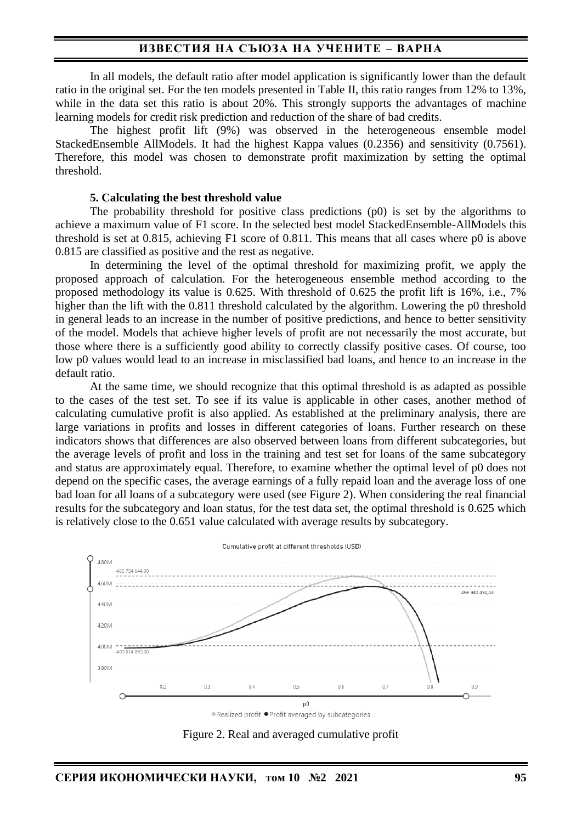### **ИЗВЕСТИЯ НА СЪЮЗА НА УЧЕНИТЕ – ВАРНА**

In all models, the default ratio after model application is significantly lower than the default ratio in the original set. For the ten models presented in Table II, this ratio ranges from 12% to 13%, while in the data set this ratio is about 20%. This strongly supports the advantages of machine learning models for credit risk prediction and reduction of the share of bad credits.

The highest profit lift (9%) was observed in the heterogeneous ensemble model StackedEnsemble AllModels. It had the highest Kappa values (0.2356) and sensitivity (0.7561). Therefore, this model was chosen to demonstrate profit maximization by setting the optimal threshold.

#### **5. Calculating the best threshold value**

The probability threshold for positive class predictions (p0) is set by the algorithms to achieve a maximum value of F1 score. In the selected best model StackedEnsemble-AllModels this threshold is set at 0.815, achieving F1 score of 0.811. This means that all cases where p0 is above 0.815 are classified as positive and the rest as negative.

In determining the level of the optimal threshold for maximizing profit, we apply the proposed approach of calculation. For the heterogeneous ensemble method according to the proposed methodology its value is 0.625. With threshold of 0.625 the profit lift is 16%, i.e., 7% higher than the lift with the 0.811 threshold calculated by the algorithm. Lowering the p0 threshold in general leads to an increase in the number of positive predictions, and hence to better sensitivity of the model. Models that achieve higher levels of profit are not necessarily the most accurate, but those where there is a sufficiently good ability to correctly classify positive cases. Of course, too low p0 values would lead to an increase in misclassified bad loans, and hence to an increase in the default ratio.

At the same time, we should recognize that this optimal threshold is as adapted as possible to the cases of the test set. To see if its value is applicable in other cases, another method of calculating cumulative profit is also applied. As established at the preliminary analysis, there are large variations in profits and losses in different categories of loans. Further research on these indicators shows that differences are also observed between loans from different subcategories, but the average levels of profit and loss in the training and test set for loans of the same subcategory and status are approximately equal. Therefore, to examine whether the optimal level of p0 does not depend on the specific cases, the average earnings of a fully repaid loan and the average loss of one bad loan for all loans of a subcategory were used (see Figure 2). When considering the real financial results for the subcategory and loan status, for the test data set, the optimal threshold is 0.625 which is relatively close to the 0.651 value calculated with average results by subcategory.



● Realized profit ● Profit averaged by subcategories

Figure 2. Real and averaged cumulative profit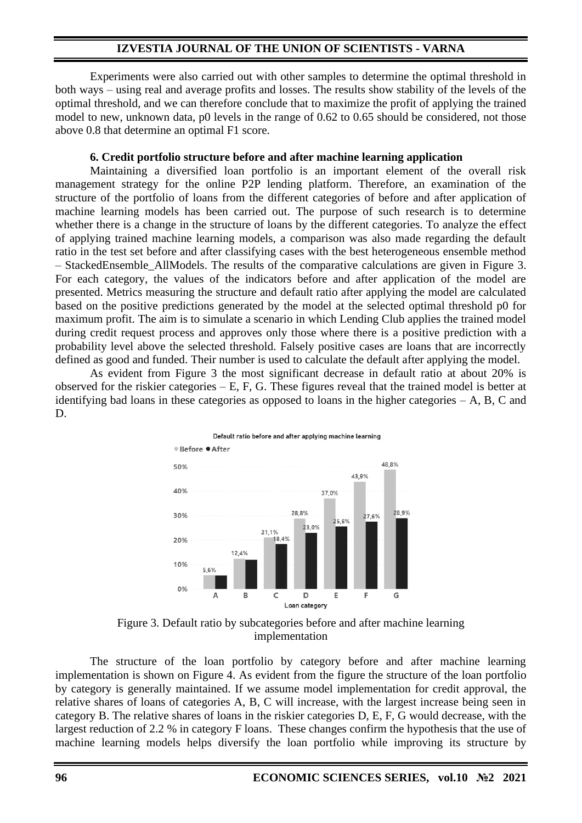Experiments were also carried out with other samples to determine the optimal threshold in both ways – using real and average profits and losses. The results show stability of the levels of the optimal threshold, and we can therefore conclude that to maximize the profit of applying the trained model to new, unknown data, p0 levels in the range of 0.62 to 0.65 should be considered, not those above 0.8 that determine an optimal F1 score.

### **6. Credit portfolio structure before and after machine learning application**

Maintaining a diversified loan portfolio is an important element of the overall risk management strategy for the online P2P lending platform. Therefore, an examination of the structure of the portfolio of loans from the different categories of before and after application of machine learning models has been carried out. The purpose of such research is to determine whether there is a change in the structure of loans by the different categories. To analyze the effect of applying trained machine learning models, a comparison was also made regarding the default ratio in the test set before and after classifying cases with the best heterogeneous ensemble method – StackedEnsemble\_AllModels. The results of the comparative calculations are given in Figure 3. For each category, the values of the indicators before and after application of the model are presented. Metrics measuring the structure and default ratio after applying the model are calculated based on the positive predictions generated by the model at the selected optimal threshold p0 for maximum profit. The aim is to simulate a scenario in which Lending Club applies the trained model during credit request process and approves only those where there is a positive prediction with a probability level above the selected threshold. Falsely positive cases are loans that are incorrectly defined as good and funded. Their number is used to calculate the default after applying the model.

As evident from Figure 3 the most significant decrease in default ratio at about 20% is observed for the riskier categories – E, F, G. These figures reveal that the trained model is better at identifying bad loans in these categories as opposed to loans in the higher categories – A, B, C and D.



Default ratio before and after applying machine learning

Figure 3. Default ratio by subcategories before and after machine learning implementation

The structure of the loan portfolio by category before and after machine learning implementation is shown on Figure 4. As evident from the figure the structure of the loan portfolio by category is generally maintained. If we assume model implementation for credit approval, the relative shares of loans of categories A, B, C will increase, with the largest increase being seen in category B. The relative shares of loans in the riskier categories D, E, F, G would decrease, with the largest reduction of 2.2 % in category F loans. These changes confirm the hypothesis that the use of machine learning models helps diversify the loan portfolio while improving its structure by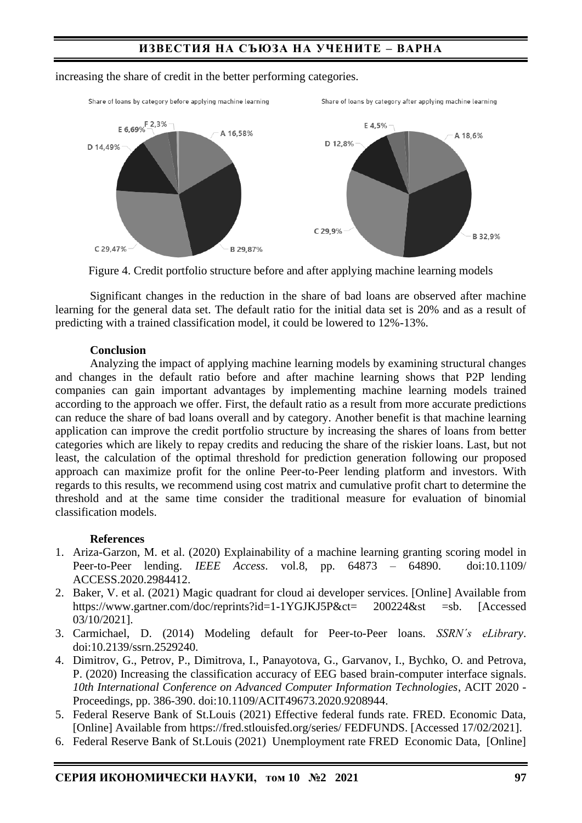# **ИЗВЕСТИЯ НА СЪЮЗА НА УЧЕНИТЕ – ВАРНА**



#### increasing the share of credit in the better performing categories.

Figure 4. Credit portfolio structure before and after applying machine learning models

Significant changes in the reduction in the share of bad loans are observed after machine learning for the general data set. The default ratio for the initial data set is 20% and as a result of predicting with a trained classification model, it could be lowered to 12%-13%.

### **Conclusion**

Analyzing the impact of applying machine learning models by examining structural changes and changes in the default ratio before and after machine learning shows that P2P lending companies can gain important advantages by implementing machine learning models trained according to the approach we offer. First, the default ratio as a result from more accurate predictions can reduce the share of bad loans overall and by category. Another benefit is that machine learning application can improve the credit portfolio structure by increasing the shares of loans from better categories which are likely to repay credits and reducing the share of the riskier loans. Last, but not least, the calculation of the optimal threshold for prediction generation following our proposed approach can maximize profit for the online Peer-to-Peer lending platform and investors. With regards to this results, we recommend using cost matrix and cumulative profit chart to determine the threshold and at the same time consider the traditional measure for evaluation of binomial classification models.

### **References**

- 1. Ariza-Garzon, M. et al. (2020) Explainability of a machine learning granting scoring model in Peer-to-Peer lending. *IEEE Access*. vol.8, pp. 64873 – 64890. doi:10.1109/ ACCESS.2020.2984412.
- 2. Baker, V. et al. (2021) Magic quadrant for cloud ai developer services. [Online] Available from https://www.gartner.com/doc/reprints?id=1-1YGJKJ5P&ct= 200224&st =sb. [Accessed 03/10/2021].
- 3. Carmichael, D. (2014) Modeling default for Peer-to-Peer loans. *SSRN´s eLibrary*. doi:10.2139/ssrn.2529240.
- 4. Dimitrov, G., Petrov, P., Dimitrova, I., Panayotova, G., Garvanov, I., Bychko, O. and Petrova, P. (2020) Increasing the classification accuracy of EEG based brain-computer interface signals. *10th International Conference on Advanced Computer Information Technologies*, ACIT 2020 - Proceedings, pp. 386-390. doi:10.1109/ACIT49673.2020.9208944.
- 5. Federal Reserve Bank of St.Louis (2021) Effective federal funds rate. FRED. Economic Data, [Online] Available from https://fred.stlouisfed.org/series/ FEDFUNDS. [Accessed 17/02/2021].
- 6. Federal Reserve Bank of St.Louis (2021) Unemployment rate FRED Economic Data, [Online]